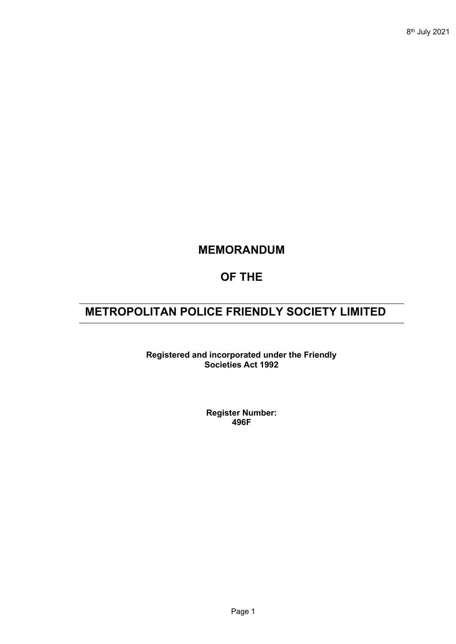## **MEMORANDUM**

## **OF THE**

# **METROPOLITAN POLICE FRIENDLY SOCIETY LIMITED**

**Registered and incorporated under the Friendly Societies Act 1992**

> **Register Number: 496F**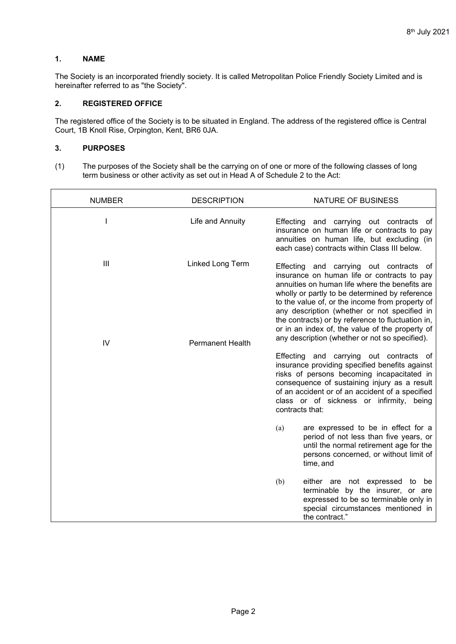### **1. NAME**

The Society is an incorporated friendly society. It is called Metropolitan Police Friendly Society Limited and is hereinafter referred to as "the Society".

### **2. REGISTERED OFFICE**

The registered office of the Society is to be situated in England. The address of the registered office is Central Court, 1B Knoll Rise, Orpington, Kent, BR6 0JA.

### **3. PURPOSES**

(1) The purposes of the Society shall be the carrying on of one or more of the following classes of long term business or other activity as set out in Head A of Schedule 2 to the Act:

| <b>NUMBER</b> | <b>DESCRIPTION</b>      | NATURE OF BUSINESS                                                                                                                                                                                                                                                                                                                                                                                                                                      |
|---------------|-------------------------|---------------------------------------------------------------------------------------------------------------------------------------------------------------------------------------------------------------------------------------------------------------------------------------------------------------------------------------------------------------------------------------------------------------------------------------------------------|
| L             | Life and Annuity        | Effecting and carrying out contracts of<br>insurance on human life or contracts to pay<br>annuities on human life, but excluding (in<br>each case) contracts within Class III below.                                                                                                                                                                                                                                                                    |
| III           | Linked Long Term        | Effecting and carrying out contracts of<br>insurance on human life or contracts to pay<br>annuities on human life where the benefits are<br>wholly or partly to be determined by reference<br>to the value of, or the income from property of<br>any description (whether or not specified in<br>the contracts) or by reference to fluctuation in,<br>or in an index of, the value of the property of<br>any description (whether or not so specified). |
| IV            | <b>Permanent Health</b> | Effecting and carrying out contracts of<br>insurance providing specified benefits against<br>risks of persons becoming incapacitated in<br>consequence of sustaining injury as a result<br>of an accident or of an accident of a specified<br>class or of sickness or infirmity, being<br>contracts that:                                                                                                                                               |
|               |                         | are expressed to be in effect for a<br>(a)<br>period of not less than five years, or<br>until the normal retirement age for the<br>persons concerned, or without limit of<br>time, and                                                                                                                                                                                                                                                                  |
|               |                         | (b)<br>either are not expressed to<br>be<br>terminable by the insurer, or are<br>expressed to be so terminable only in<br>special circumstances mentioned in<br>the contract."                                                                                                                                                                                                                                                                          |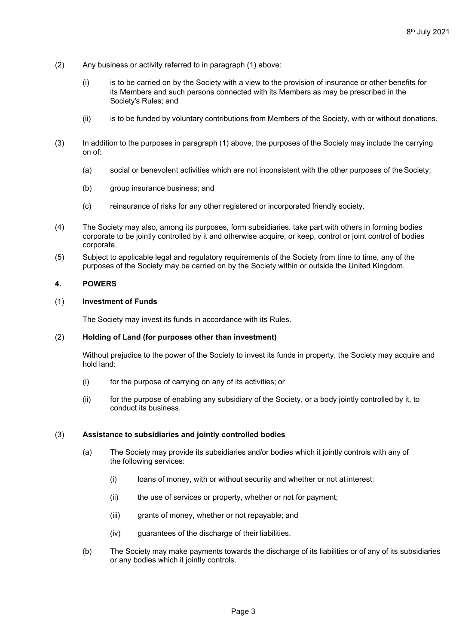- (2) Any business or activity referred to in paragraph (1) above:
	- (i) is to be carried on by the Society with a view to the provision of insurance or other benefits for its Members and such persons connected with its Members as may be prescribed in the Society's Rules; and
	- (ii) is to be funded by voluntary contributions from Members of the Society, with or without donations.
- (3) In addition to the purposes in paragraph (1) above, the purposes of the Society may include the carrying on of:
	- (a) social or benevolent activities which are not inconsistent with the other purposes of theSociety;
	- (b) group insurance business; and
	- (c) reinsurance of risks for any other registered or incorporated friendly society.
- (4) The Society may also, among its purposes, form subsidiaries, take part with others in forming bodies corporate to be jointly controlled by it and otherwise acquire, or keep, control or joint control of bodies corporate.
- (5) Subject to applicable legal and regulatory requirements of the Society from time to time, any of the purposes of the Society may be carried on by the Society within or outside the United Kingdom.

#### **4. POWERS**

#### (1) **Investment of Funds**

The Society may invest its funds in accordance with its Rules.

#### (2) **Holding of Land (for purposes other than investment)**

Without prejudice to the power of the Society to invest its funds in property, the Society may acquire and hold land:

- (i) for the purpose of carrying on any of its activities; or
- (ii) for the purpose of enabling any subsidiary of the Society, or a body jointly controlled by it, to conduct its business.

#### (3) **Assistance to subsidiaries and jointly controlled bodies**

- (a) The Society may provide its subsidiaries and/or bodies which it jointly controls with any of the following services:
	- (i) loans of money, with or without security and whether or not at interest;
	- (ii) the use of services or property, whether or not for payment;
	- (iii) grants of money, whether or not repayable; and
	- (iv) guarantees of the discharge of their liabilities.
- (b) The Society may make payments towards the discharge of its liabilities or of any of its subsidiaries or any bodies which it jointly controls.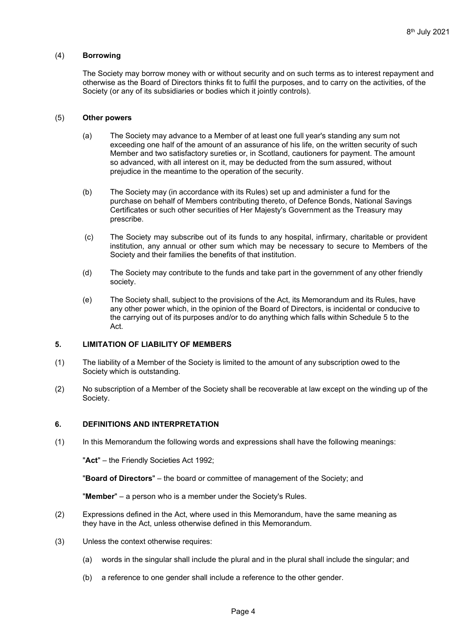#### (4) **Borrowing**

The Society may borrow money with or without security and on such terms as to interest repayment and otherwise as the Board of Directors thinks fit to fulfil the purposes, and to carry on the activities, of the Society (or any of its subsidiaries or bodies which it jointly controls).

#### (5) **Other powers**

- (a) The Society may advance to a Member of at least one full year's standing any sum not exceeding one half of the amount of an assurance of his life, on the written security of such Member and two satisfactory sureties or, in Scotland, cautioners for payment. The amount so advanced, with all interest on it, may be deducted from the sum assured, without prejudice in the meantime to the operation of the security.
- (b) The Society may (in accordance with its Rules) set up and administer a fund for the purchase on behalf of Members contributing thereto, of Defence Bonds, National Savings Certificates or such other securities of Her Majesty's Government as the Treasury may prescribe.
- (c) The Society may subscribe out of its funds to any hospital, infirmary, charitable or provident institution, any annual or other sum which may be necessary to secure to Members of the Society and their families the benefits of that institution.
- (d) The Society may contribute to the funds and take part in the government of any other friendly society.
- (e) The Society shall, subject to the provisions of the Act, its Memorandum and its Rules, have any other power which, in the opinion of the Board of Directors, is incidental or conducive to the carrying out of its purposes and/or to do anything which falls within Schedule 5 to the Act.

#### **5. LIMITATION OF LIABILITY OF MEMBERS**

- (1) The liability of a Member of the Society is limited to the amount of any subscription owed to the Society which is outstanding.
- (2) No subscription of a Member of the Society shall be recoverable at law except on the winding up of the Society.

#### **6. DEFINITIONS AND INTERPRETATION**

(1) In this Memorandum the following words and expressions shall have the following meanings:

"**Act**" – the Friendly Societies Act 1992;

"**Board of Directors**" – the board or committee of management of the Society; and

"**Member**" – a person who is a member under the Society's Rules.

- (2) Expressions defined in the Act, where used in this Memorandum, have the same meaning as they have in the Act, unless otherwise defined in this Memorandum.
- (3) Unless the context otherwise requires:
	- (a) words in the singular shall include the plural and in the plural shall include the singular; and
	- (b) a reference to one gender shall include a reference to the other gender.